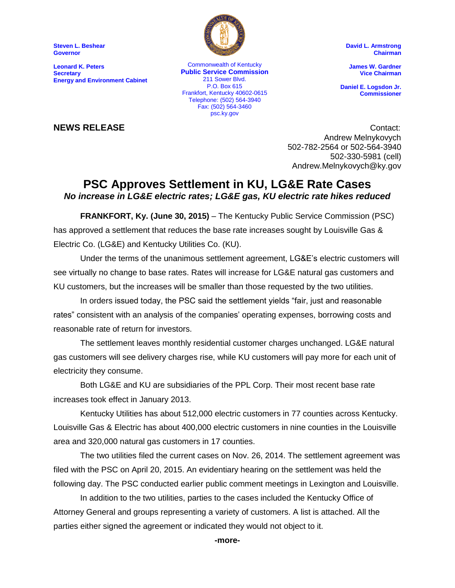**Steven L. Beshear Governor**

**Leonard K. Peters Secretary Energy and Environment Cabinet**



ankion, Kentucky 40002-00<br>Telephone: (502) 564-3940 Commonwealth of Kentucky **Public Service Commission** 211 Sower Blvd. P.O. Box 615 Frankfort, Kentucky 40602-0615 Fax: (502) 564-3460 psc.ky.gov

**David L. Armstrong Chairman**

**James W. Gardner Vice Chairman**

**Daniel E. Logsdon Jr. Commissioner**

**NEWS RELEASE** Contact: Andrew Melnykovych 502-782-2564 or 502-564-3940 502-330-5981 (cell) Andrew.Melnykovych@ky.gov

### **PSC Approves Settlement in KU, LG&E Rate Cases** *No increase in LG&E electric rates; LG&E gas, KU electric rate hikes reduced*

**FRANKFORT, Ky. (June 30, 2015)** – The Kentucky Public Service Commission (PSC) has approved a settlement that reduces the base rate increases sought by Louisville Gas & Electric Co. (LG&E) and Kentucky Utilities Co. (KU).

Under the terms of the unanimous settlement agreement, LG&E's electric customers will see virtually no change to base rates. Rates will increase for LG&E natural gas customers and KU customers, but the increases will be smaller than those requested by the two utilities.

In orders issued today, the PSC said the settlement yields "fair, just and reasonable rates" consistent with an analysis of the companies' operating expenses, borrowing costs and reasonable rate of return for investors.

The settlement leaves monthly residential customer charges unchanged. LG&E natural gas customers will see delivery charges rise, while KU customers will pay more for each unit of electricity they consume.

Both LG&E and KU are subsidiaries of the PPL Corp. Their most recent base rate increases took effect in January 2013.

Kentucky Utilities has about 512,000 electric customers in 77 counties across Kentucky. Louisville Gas & Electric has about 400,000 electric customers in nine counties in the Louisville area and 320,000 natural gas customers in 17 counties.

The two utilities filed the current cases on Nov. 26, 2014. The settlement agreement was filed with the PSC on April 20, 2015. An evidentiary hearing on the settlement was held the following day. The PSC conducted earlier public comment meetings in Lexington and Louisville.

In addition to the two utilities, parties to the cases included the Kentucky Office of Attorney General and groups representing a variety of customers. A list is attached. All the parties either signed the agreement or indicated they would not object to it.

**-more-**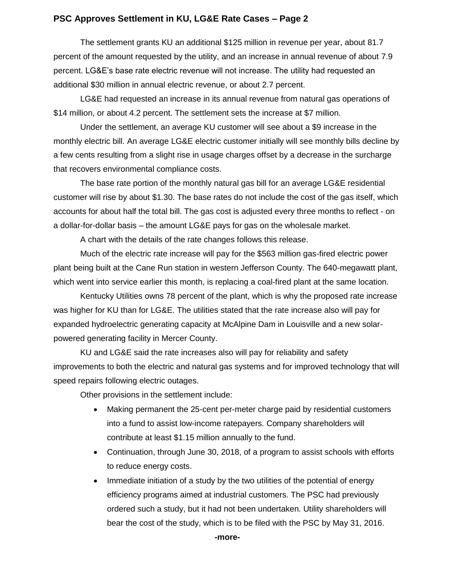#### **PSC Approves Settlement in KU, LG&E Rate Cases – Page 2**

The settlement grants KU an additional \$125 million in revenue per year, about 81.7 percent of the amount requested by the utility, and an increase in annual revenue of about 7.9 percent. LG&E's base rate electric revenue will not increase. The utility had requested an additional \$30 million in annual electric revenue, or about 2.7 percent.

LG&E had requested an increase in its annual revenue from natural gas operations of \$14 million, or about 4.2 percent. The settlement sets the increase at \$7 million.

Under the settlement, an average KU customer will see about a \$9 increase in the monthly electric bill. An average LG&E electric customer initially will see monthly bills decline by a few cents resulting from a slight rise in usage charges offset by a decrease in the surcharge that recovers environmental compliance costs.

The base rate portion of the monthly natural gas bill for an average LG&E residential customer will rise by about \$1.30. The base rates do not include the cost of the gas itself, which accounts for about half the total bill. The gas cost is adjusted every three months to reflect - on a dollar-for-dollar basis – the amount LG&E pays for gas on the wholesale market.

A chart with the details of the rate changes follows this release.

Much of the electric rate increase will pay for the \$563 million gas-fired electric power plant being built at the Cane Run station in western Jefferson County. The 640-megawatt plant, which went into service earlier this month, is replacing a coal-fired plant at the same location.

Kentucky Utilities owns 78 percent of the plant, which is why the proposed rate increase was higher for KU than for LG&E. The utilities stated that the rate increase also will pay for expanded hydroelectric generating capacity at McAlpine Dam in Louisville and a new solarpowered generating facility in Mercer County.

KU and LG&E said the rate increases also will pay for reliability and safety improvements to both the electric and natural gas systems and for improved technology that will speed repairs following electric outages.

Other provisions in the settlement include:

- Making permanent the 25-cent per-meter charge paid by residential customers into a fund to assist low-income ratepayers. Company shareholders will contribute at least \$1.15 million annually to the fund.
- Continuation, through June 30, 2018, of a program to assist schools with efforts to reduce energy costs.
- Immediate initiation of a study by the two utilities of the potential of energy efficiency programs aimed at industrial customers. The PSC had previously ordered such a study, but it had not been undertaken. Utility shareholders will bear the cost of the study, which is to be filed with the PSC by May 31, 2016.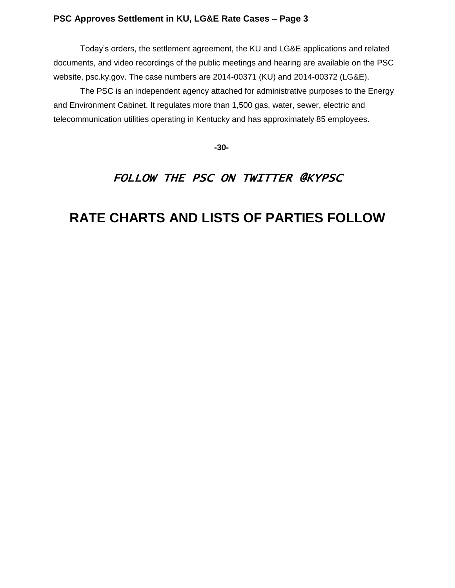#### **PSC Approves Settlement in KU, LG&E Rate Cases – Page 3**

Today's orders, the settlement agreement, the KU and LG&E applications and related documents, and video recordings of the public meetings and hearing are available on the PSC website, psc.ky.gov. The case numbers are 2014-00371 (KU) and 2014-00372 (LG&E).

The PSC is an independent agency attached for administrative purposes to the Energy and Environment Cabinet. It regulates more than 1,500 gas, water, sewer, electric and telecommunication utilities operating in Kentucky and has approximately 85 employees.

 **-30-**

### FOLLOW THE PSC ON TWITTER @KYPSC

## **RATE CHARTS AND LISTS OF PARTIES FOLLOW**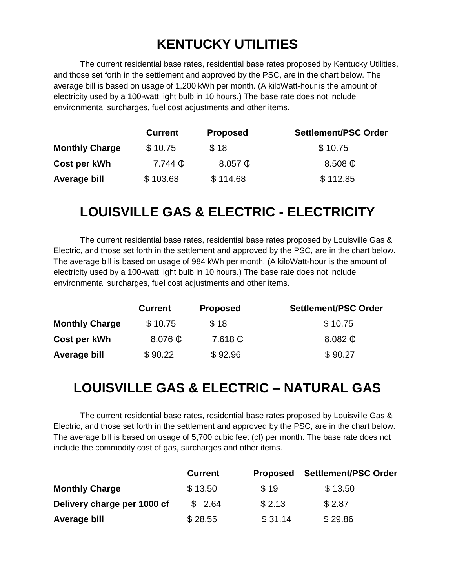# **KENTUCKY UTILITIES**

The current residential base rates, residential base rates proposed by Kentucky Utilities, and those set forth in the settlement and approved by the PSC, are in the chart below. The average bill is based on usage of 1,200 kWh per month. (A kiloWatt-hour is the amount of electricity used by a 100-watt light bulb in 10 hours.) The base rate does not include environmental surcharges, fuel cost adjustments and other items.

|                       | <b>Current</b> | <b>Proposed</b>      | <b>Settlement/PSC Order</b> |
|-----------------------|----------------|----------------------|-----------------------------|
| <b>Monthly Charge</b> | \$10.75        | \$18                 | \$10.75                     |
| Cost per kWh          | 7.744 <b>C</b> | $8.057$ $\mathbb{C}$ | $8.508$ $\mathbb{C}$        |
| Average bill          | \$103.68       | \$114.68             | \$112.85                    |

## **LOUISVILLE GAS & ELECTRIC - ELECTRICITY**

The current residential base rates, residential base rates proposed by Louisville Gas & Electric, and those set forth in the settlement and approved by the PSC, are in the chart below. The average bill is based on usage of 984 kWh per month. (A kiloWatt-hour is the amount of electricity used by a 100-watt light bulb in 10 hours.) The base rate does not include environmental surcharges, fuel cost adjustments and other items.

|                       | <b>Current</b>       | <b>Proposed</b>                 | Settlement/PSC Order |
|-----------------------|----------------------|---------------------------------|----------------------|
| <b>Monthly Charge</b> | \$10.75              | \$18                            | \$10.75              |
| Cost per kWh          | $8.076$ $\mathbb{C}$ | $7.618 \text{ } \textcircled{}$ | $8.082$ $\mathbb{C}$ |
| Average bill          | \$90.22              | \$92.96                         | \$90.27              |

## **LOUISVILLE GAS & ELECTRIC – NATURAL GAS**

The current residential base rates, residential base rates proposed by Louisville Gas & Electric, and those set forth in the settlement and approved by the PSC, are in the chart below. The average bill is based on usage of 5,700 cubic feet (cf) per month. The base rate does not include the commodity cost of gas, surcharges and other items.

|                             | <b>Current</b> | <b>Proposed</b> | <b>Settlement/PSC Order</b> |
|-----------------------------|----------------|-----------------|-----------------------------|
| <b>Monthly Charge</b>       | \$13.50        | \$19            | \$13.50                     |
| Delivery charge per 1000 cf | \$2.64         | \$2.13          | \$2.87                      |
| Average bill                | \$28.55        | \$31.14         | \$29.86                     |